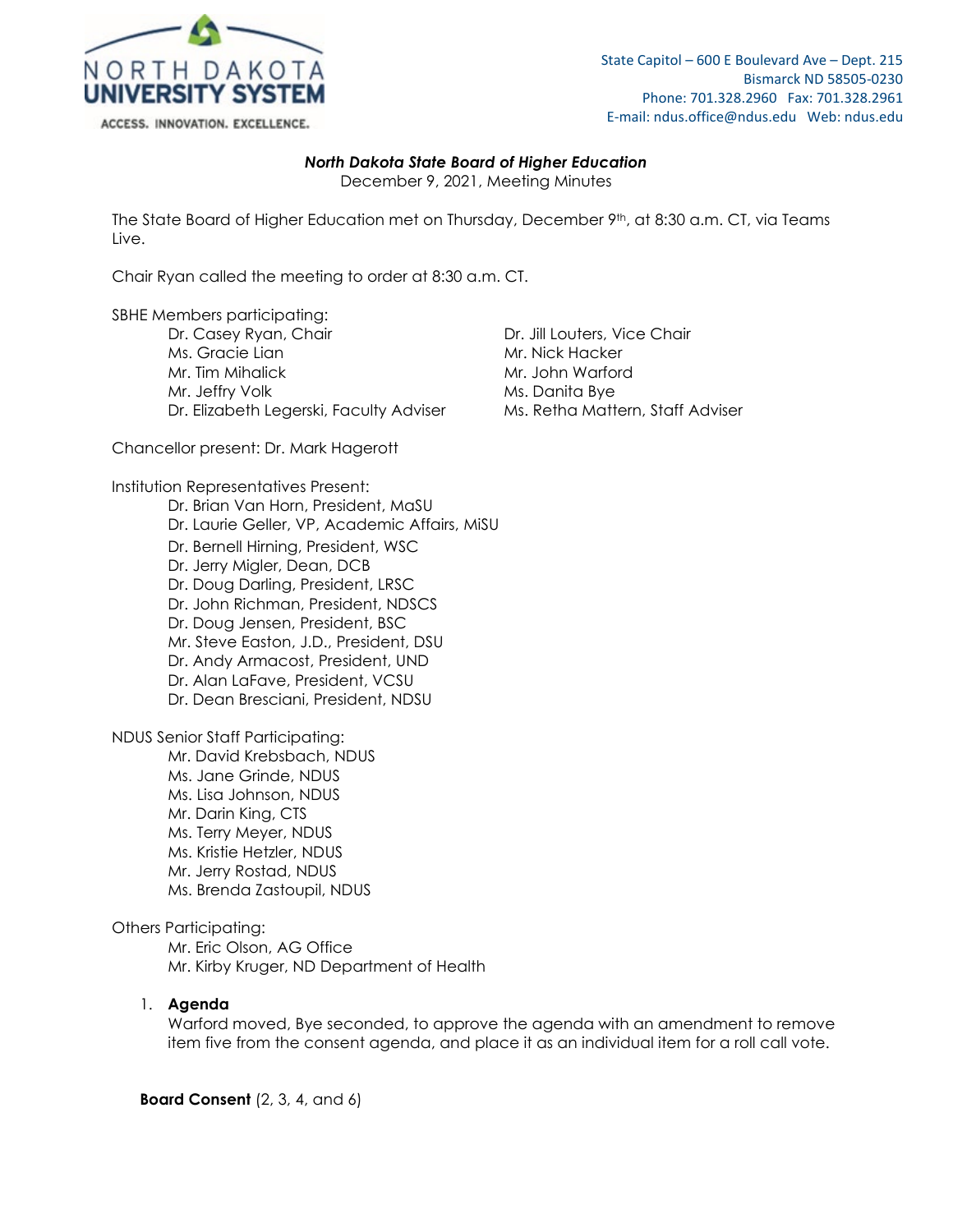

### *North Dakota State Board of Higher Education*

December 9, 2021, Meeting Minutes

The State Board of Higher Education met on Thursday, December 9<sup>th</sup>, at 8:30 a.m. CT, via Teams Live.

Chair Ryan called the meeting to order at 8:30 a.m. CT.

SBHE Members participating:

Dr. Casey Ryan, Chair **Dr. Jill Louters, Vice Chair** Ms. Gracie Lian Mr. Nick Hacker Mr. Tim Mihalick Mr. John Warford Mr. Jeffry Volk<br>Dr. Elizabeth Legerski, Faculty Adviser Ms. Retha Mattern, Staff Adviser Dr. Elizabeth Legerski, Faculty Adviser

Chancellor present: Dr. Mark Hagerott

Institution Representatives Present:

Dr. Brian Van Horn, President, MaSU Dr. Laurie Geller, VP, Academic Affairs, MiSU Dr. Bernell Hirning, President, WSC Dr. Jerry Migler, Dean, DCB Dr. Doug Darling, President, LRSC Dr. John Richman, President, NDSCS Dr. Doug Jensen, President, BSC Mr. Steve Easton, J.D., President, DSU Dr. Andy Armacost, President, UND Dr. Alan LaFave, President, VCSU Dr. Dean Bresciani, President, NDSU

NDUS Senior Staff Participating:

Mr. David Krebsbach, NDUS Ms. Jane Grinde, NDUS Ms. Lisa Johnson, NDUS Mr. Darin King, CTS Ms. Terry Meyer, NDUS Ms. Kristie Hetzler, NDUS Mr. Jerry Rostad, NDUS Ms. Brenda Zastoupil, NDUS

#### Others Participating:

Mr. Eric Olson, AG Office Mr. Kirby Kruger, ND Department of Health

## 1. **Agenda**

Warford moved, Bye seconded, to approve the agenda with an amendment to remove item five from the consent agenda, and place it as an individual item for a roll call vote.

**Board Consent** (2, 3, 4, and 6)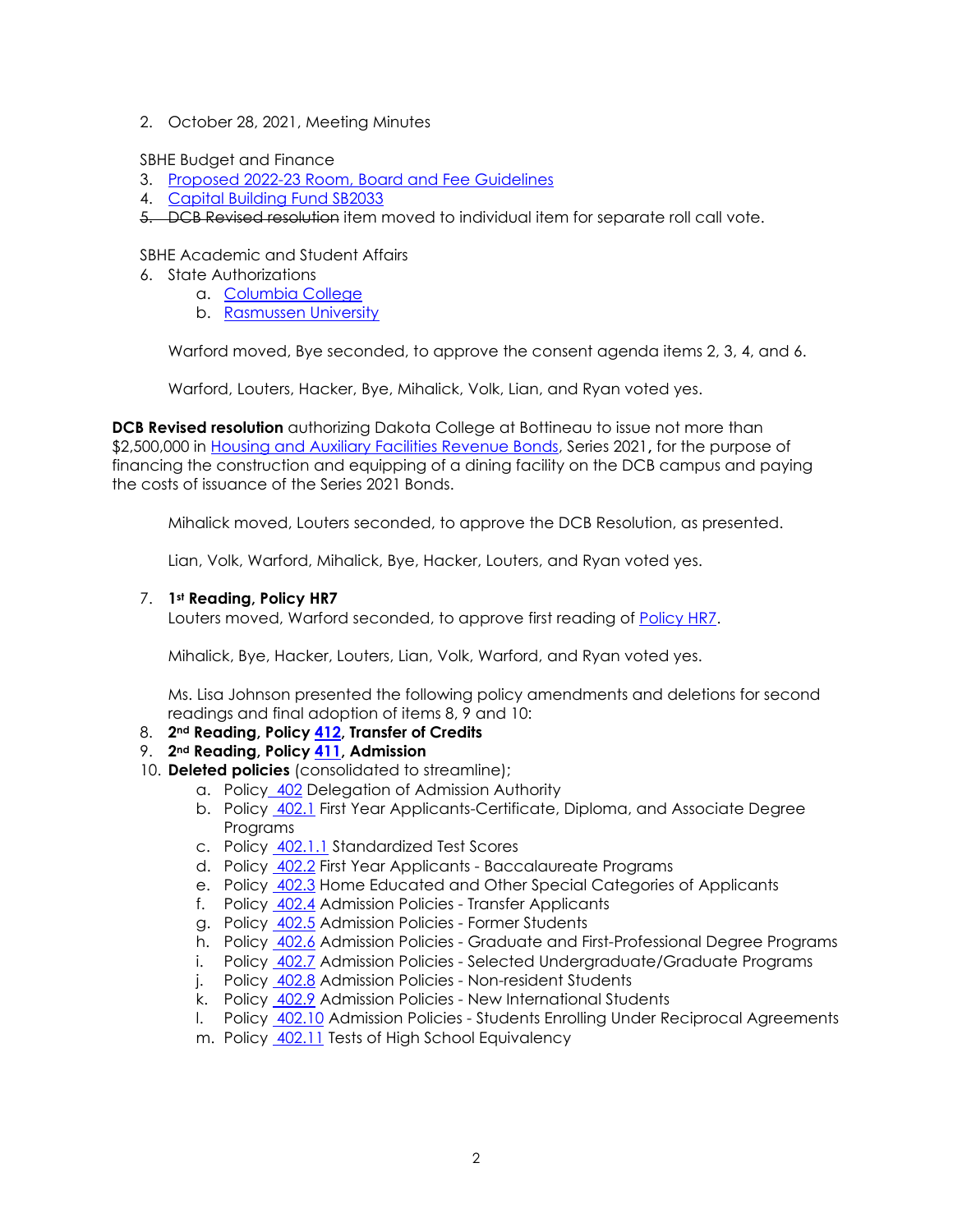2. October 28, 2021, Meeting Minutes

SBHE Budget and Finance

- 3. [Proposed 2022-23 Room, Board and Fee Guidelines](https://ndusbpos.sharepoint.com/:b:/s/NDUSSBHE/EbHZFp01Sn5Ojm_ibc2an_MBwT_ZLbACoCZY_vS39uwU7A?e=Vr44GA)
- 4. [Capital Building Fund SB2033](https://ndusbpos.sharepoint.com/:b:/s/NDUSSBHE/EXuU2YKnUANEpiaN8AOC9pcBeFl8PeOqYt1wjETI0UwORA?e=KJMS7K)
- 5. DCB Revised resolution item moved to individual item for separate roll call vote.

# SBHE Academic and Student Affairs

- 6. State Authorizations
	- a. [Columbia College](https://ndusbpos.sharepoint.com/:b:/s/NDUSSBHE/EYfEpQBox-tIg5A9pTOrJOABXSMQw4ji24mWHWI9IJDNzw?e=zNmFl9)
	- b. [Rasmussen University](https://ndusbpos.sharepoint.com/:b:/s/NDUSSBHE/ESkEtfURkvFFnZHk4E94ijQB05YwgTLLn5wHCVN11PTIlQ?e=7kzle8)

Warford moved, Bye seconded, to approve the consent agenda items 2, 3, 4, and 6.

Warford, Louters, Hacker, Bye, Mihalick, Volk, Lian, and Ryan voted yes.

**DCB Revised resolution** authorizing Dakota College at Bottineau to issue not more than \$2,500,000 in [Housing and Auxiliary Facilities Revenue Bonds,](https://ndusbpos.sharepoint.com/:b:/s/NDUSSBHE/EZ1WWJjN7RFNsE259RXLrPYBFHv5rqaFb8EtkkHy8npmhA?e=Vrp6O4) Series 2021**,** for the purpose of financing the construction and equipping of a dining facility on the DCB campus and paying the costs of issuance of the Series 2021 Bonds.

Mihalick moved, Louters seconded, to approve the DCB Resolution, as presented.

Lian, Volk, Warford, Mihalick, Bye, Hacker, Louters, and Ryan voted yes.

## 7. **1st Reading, Policy HR7**

Louters moved, Warford seconded, to approve first reading of [Policy HR7.](https://ndusbpos.sharepoint.com/:b:/s/NDUSSBHE/EXpv4WHoVB9Jtn0l_eivIzcBN6YFcLnxoy3QTmomtxOq3w?e=WFEo88)

Mihalick, Bye, Hacker, Louters, Lian, Volk, Warford, and Ryan voted yes.

Ms. Lisa Johnson presented the following policy amendments and deletions for second readings and final adoption of items 8, 9 and 10:

- 8. **2nd Reading, Policy [412,](https://ndusbpos.sharepoint.com/:b:/s/NDUSSBHE/EZCXvZUrYOlIpQxgKLZOB5cBq41K8Z1Etk4TAxW0ZCksbA?e=qsRIBE) Transfer of Credits**
- 9. **2nd Reading, Policy [411,](https://ndusbpos.sharepoint.com/:b:/s/NDUSSBHE/EaBTh1V1991KsJuX-V6B_NQBe6CaRjhmdgrjtFCQlItZsQ?e=d3G3Of) Admission**
- 10. **Deleted policies** (consolidated to streamline);
	- a. Policy [402](https://ndusbpos.sharepoint.com/:w:/s/NDUSPoliciesandProcedures/EVJw0QkNNA9LpO0v8KSJ5agBPh5TdkzWVNy4-WBRYfkQBw?e=LVt3UT) Delegation of Admission Authority
	- b. Policy [402.1](https://ndusbpos.sharepoint.com/:w:/s/NDUSPoliciesandProcedures/EXDCKLBD1Y1AqslQa6hjr_sBrPcx_rrqUmEkZTcEzjD2-g?e=3stDH0) First Year Applicants-Certificate, Diploma, and Associate Degree Programs
	- c. Policy [402.1.1](https://ndusbpos.sharepoint.com/:w:/s/NDUSPoliciesandProcedures/EcM6GY5ffOhIvdGn9kEyuGQBQE1nnLZc4u12vUqzVUra0w?e=c7LbJs) Standardized Test Scores
	- d. Policy [402.2](https://ndusbpos.sharepoint.com/:w:/s/NDUSPoliciesandProcedures/EfV6Q_q8MzFAjucpQw0KpDsBiZf37TyRQi-s4g44Y7xcfg?e=SFc7u6) First Year Applicants Baccalaureate Programs
	- e. Policy [402.3](https://ndusbpos.sharepoint.com/:w:/s/NDUSPoliciesandProcedures/EQKAZM0TIE5AgBkff-4Q7WwBRCfWQaw-wse3l01gUeOl8A?e=K6JxGI) Home Educated and Other Special Categories of Applicants
	- f. Policy [402.4](https://ndusbpos.sharepoint.com/:w:/s/NDUSPoliciesandProcedures/EQJm1r50EnpOv_yODmpC4B4BvmqXyiUjQ9b0VKQI3zybqQ?e=qIbucp) Admission Policies Transfer Applicants
	- g. Policy [402.5](https://ndusbpos.sharepoint.com/:w:/s/NDUSPoliciesandProcedures/EcGRdgM8w8dAhxxYZzdSGFQBw65BBOiYKK0a0ryxwWq51Q?e=qQKkVb) Admission Policies Former Students
	- h. Policy [402.6](https://ndusbpos.sharepoint.com/:w:/s/NDUSPoliciesandProcedures/EbOs0hA-FPxAlR8EhPIchpQBWc873ED_Ar7jzkYqZcAmGg?e=eXOUfE) Admission Policies Graduate and First-Professional Degree Programs
	- i. Policy [402.7](https://ndusbpos.sharepoint.com/:w:/s/NDUSPoliciesandProcedures/Ef5x47aIUw5ErCBKOIs8AisBUTK9nt0Bj0u87SJLGDICIg?e=jIR3tL) Admission Policies Selected Undergraduate/Graduate Programs
	- j. Policy [402.8](https://ndusbpos.sharepoint.com/:w:/s/NDUSPoliciesandProcedures/ER6ZLs00_f9Pima10_K9MNkBRVkKNJj80EseIV4eSVNglQ?e=y9B0lq) Admission Policies Non-resident Students
	- k. Policy [402.9](https://ndusbpos.sharepoint.com/:w:/s/NDUSPoliciesandProcedures/EW19MVQDZR5InngNty1SEnMBMtcan8ipSXG6WzFyHmI34g?e=v7dnmZ) Admission Policies New International Students
	- l. Policy [402.10](https://ndusbpos.sharepoint.com/:w:/s/NDUSPoliciesandProcedures/EfduJHG8yA9EuHX4NdkLX84BqtMg1N7TmOEmgI8rz-8WSg?e=XMLrfi) Admission Policies Students Enrolling Under Reciprocal Agreements
	- m. Policy [402.11](https://ndusbpos.sharepoint.com/:w:/s/NDUSPoliciesandProcedures/EU9RxHXa67hGrdRhzaUsUtoB6e7Z67wYoPIKW7-mxa9UjQ?e=SMmz8B) Tests of High School Equivalency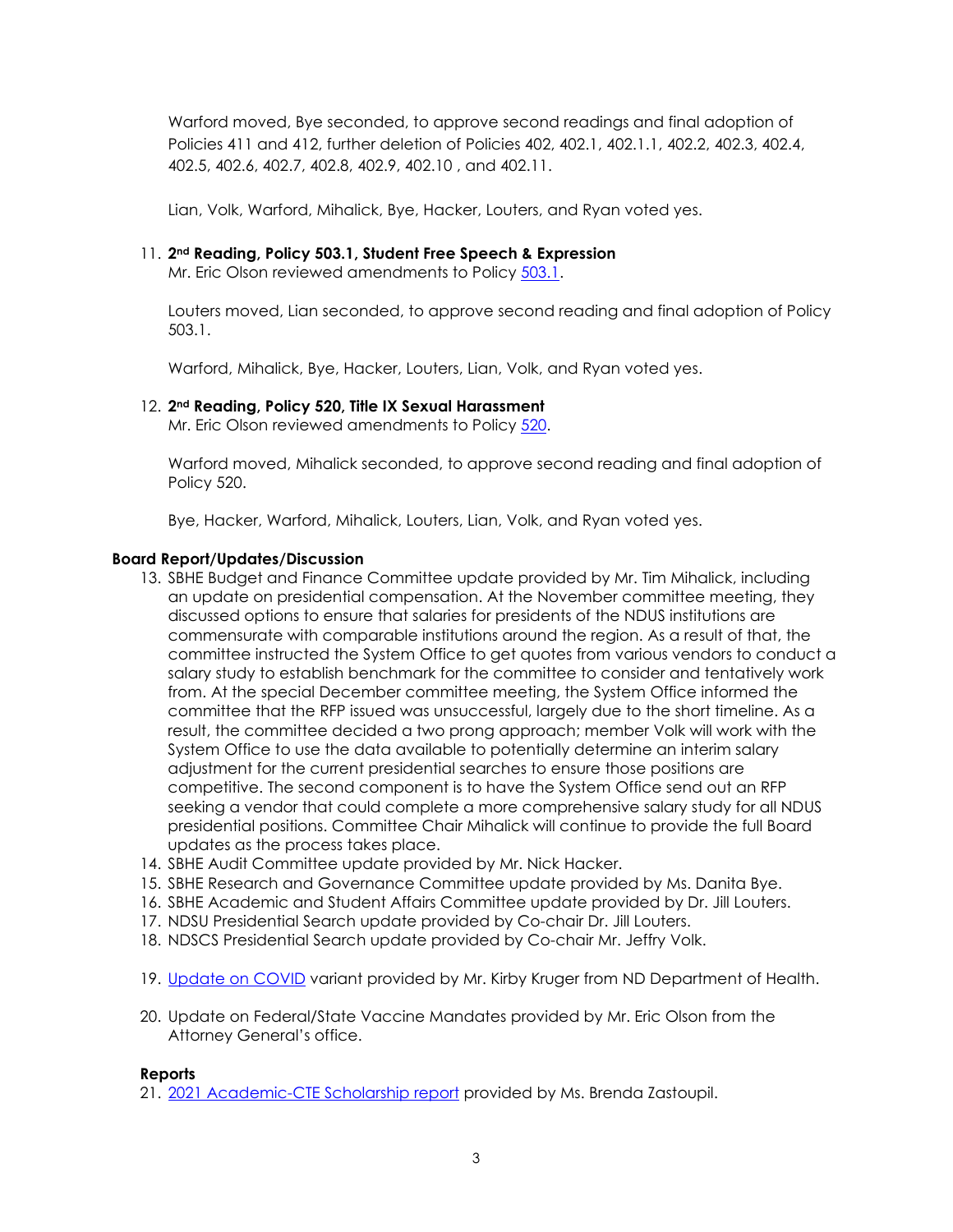Warford moved, Bye seconded, to approve second readings and final adoption of Policies 411 and 412, further deletion of Policies 402, 402.1, 402.1.1, 402.2, 402.3, 402.4, 402.5, 402.6, 402.7, 402.8, 402.9, 402.10 , and 402.11.

Lian, Volk, Warford, Mihalick, Bye, Hacker, Louters, and Ryan voted yes.

#### 11. **2nd Reading, Policy 503.1, Student Free Speech & Expression**

Mr. Eric Olson reviewed amendments to Policy [503.1.](https://ndusbpos.sharepoint.com/:b:/s/NDUSSBHE/EdhvcTRgGK5FjlKyzg50tH0BpZMtHHy-eR6vmMMmdoABFg?e=5qI1Rx)

Louters moved, Lian seconded, to approve second reading and final adoption of Policy 503.1.

Warford, Mihalick, Bye, Hacker, Louters, Lian, Volk, and Ryan voted yes.

## 12. **2nd Reading, Policy 520, Title IX Sexual Harassment**

Mr. Eric Olson reviewed amendments to Policy [520.](https://ndusbpos.sharepoint.com/:b:/s/NDUSSBHE/EQP-skxfPANKu3xk8OvWP04Bc6b5h28CLjgJRoAn9TKsyA?e=kuaqNU)

Warford moved, Mihalick seconded, to approve second reading and final adoption of Policy 520.

Bye, Hacker, Warford, Mihalick, Louters, Lian, Volk, and Ryan voted yes.

#### **Board Report/Updates/Discussion**

- 13. SBHE Budget and Finance Committee update provided by Mr. Tim Mihalick, including an update on presidential compensation. At the November committee meeting, they discussed options to ensure that salaries for presidents of the NDUS institutions are commensurate with comparable institutions around the region. As a result of that, the committee instructed the System Office to get quotes from various vendors to conduct a salary study to establish benchmark for the committee to consider and tentatively work from. At the special December committee meeting, the System Office informed the committee that the RFP issued was unsuccessful, largely due to the short timeline. As a result, the committee decided a two prong approach; member Volk will work with the System Office to use the data available to potentially determine an interim salary adjustment for the current presidential searches to ensure those positions are competitive. The second component is to have the System Office send out an RFP seeking a vendor that could complete a more comprehensive salary study for all NDUS presidential positions. Committee Chair Mihalick will continue to provide the full Board updates as the process takes place.
- 14. SBHE Audit Committee update provided by Mr. Nick Hacker.
- 15. SBHE Research and Governance Committee update provided by Ms. Danita Bye.
- 16. SBHE Academic and Student Affairs Committee update provided by Dr. Jill Louters.
- 17. NDSU Presidential Search update provided by Co-chair Dr. Jill Louters.
- 18. NDSCS Presidential Search update provided by Co-chair Mr. Jeffry Volk.
- 19. [Update on COVID](https://ndusbpos.sharepoint.com/:b:/s/NDUSSBHE/ER2G5c-wXyJOvYQUADlF7hIBnXZtEZbE1MBvKFOnSArAVA?e=u1X40K) variant provided by Mr. Kirby Kruger from ND Department of Health.
- 20. Update on Federal/State Vaccine Mandates provided by Mr. Eric Olson from the Attorney General's office.

#### **Reports**

21. [2021 Academic-CTE Scholarship report](https://ndusbpos.sharepoint.com/:b:/s/NDUSSBHE/EcPrzkTdzWpHs3bPvgT2C8sBSPiipcgpjp7Bwd7wK4QfxQ?e=m98TpJ) provided by Ms. Brenda Zastoupil.